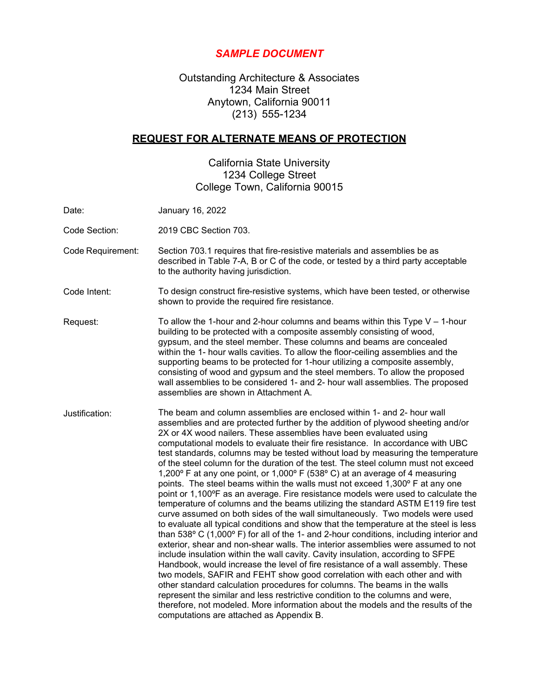# *SAMPLE DOCUMENT*

Outstanding Architecture & Associates 1234 Main Street Anytown, California 90011 (213) 555-1234

# **REQUEST FOR ALTERNATE MEANS OF PROTECTION**

California State University 1234 College Street College Town, California 90015

| Date:             | January 16, 2022                                                                                                                                                                                                                                                                                                                                                                                                                                                                                                                                                                                                                                                                                                                                                                                                                                                                                                                                                                                                                                                                                                                                                                                                                                                                                                                                                                                                                                                                                                                                                                                                                                                                                                                          |
|-------------------|-------------------------------------------------------------------------------------------------------------------------------------------------------------------------------------------------------------------------------------------------------------------------------------------------------------------------------------------------------------------------------------------------------------------------------------------------------------------------------------------------------------------------------------------------------------------------------------------------------------------------------------------------------------------------------------------------------------------------------------------------------------------------------------------------------------------------------------------------------------------------------------------------------------------------------------------------------------------------------------------------------------------------------------------------------------------------------------------------------------------------------------------------------------------------------------------------------------------------------------------------------------------------------------------------------------------------------------------------------------------------------------------------------------------------------------------------------------------------------------------------------------------------------------------------------------------------------------------------------------------------------------------------------------------------------------------------------------------------------------------|
| Code Section:     | 2019 CBC Section 703.                                                                                                                                                                                                                                                                                                                                                                                                                                                                                                                                                                                                                                                                                                                                                                                                                                                                                                                                                                                                                                                                                                                                                                                                                                                                                                                                                                                                                                                                                                                                                                                                                                                                                                                     |
| Code Requirement: | Section 703.1 requires that fire-resistive materials and assemblies be as<br>described in Table 7-A, B or C of the code, or tested by a third party acceptable<br>to the authority having jurisdiction.                                                                                                                                                                                                                                                                                                                                                                                                                                                                                                                                                                                                                                                                                                                                                                                                                                                                                                                                                                                                                                                                                                                                                                                                                                                                                                                                                                                                                                                                                                                                   |
| Code Intent:      | To design construct fire-resistive systems, which have been tested, or otherwise<br>shown to provide the required fire resistance.                                                                                                                                                                                                                                                                                                                                                                                                                                                                                                                                                                                                                                                                                                                                                                                                                                                                                                                                                                                                                                                                                                                                                                                                                                                                                                                                                                                                                                                                                                                                                                                                        |
| Request:          | To allow the 1-hour and 2-hour columns and beams within this Type $V - 1$ -hour<br>building to be protected with a composite assembly consisting of wood,<br>gypsum, and the steel member. These columns and beams are concealed<br>within the 1- hour walls cavities. To allow the floor-ceiling assemblies and the<br>supporting beams to be protected for 1-hour utilizing a composite assembly,<br>consisting of wood and gypsum and the steel members. To allow the proposed<br>wall assemblies to be considered 1- and 2- hour wall assemblies. The proposed<br>assemblies are shown in Attachment A.                                                                                                                                                                                                                                                                                                                                                                                                                                                                                                                                                                                                                                                                                                                                                                                                                                                                                                                                                                                                                                                                                                                               |
| Justification:    | The beam and column assemblies are enclosed within 1- and 2- hour wall<br>assemblies and are protected further by the addition of plywood sheeting and/or<br>2X or 4X wood nailers. These assemblies have been evaluated using<br>computational models to evaluate their fire resistance. In accordance with UBC<br>test standards, columns may be tested without load by measuring the temperature<br>of the steel column for the duration of the test. The steel column must not exceed<br>1,200° F at any one point, or 1,000° F (538° C) at an average of 4 measuring<br>points. The steel beams within the walls must not exceed 1,300° F at any one<br>point or 1,100°F as an average. Fire resistance models were used to calculate the<br>temperature of columns and the beams utilizing the standard ASTM E119 fire test<br>curve assumed on both sides of the wall simultaneously. Two models were used<br>to evaluate all typical conditions and show that the temperature at the steel is less<br>than 538° C (1,000° F) for all of the 1- and 2-hour conditions, including interior and<br>exterior, shear and non-shear walls. The interior assemblies were assumed to not<br>include insulation within the wall cavity. Cavity insulation, according to SFPE<br>Handbook, would increase the level of fire resistance of a wall assembly. These<br>two models, SAFIR and FEHT show good correlation with each other and with<br>other standard calculation procedures for columns. The beams in the walls<br>represent the similar and less restrictive condition to the columns and were,<br>therefore, not modeled. More information about the models and the results of the<br>computations are attached as Appendix B. |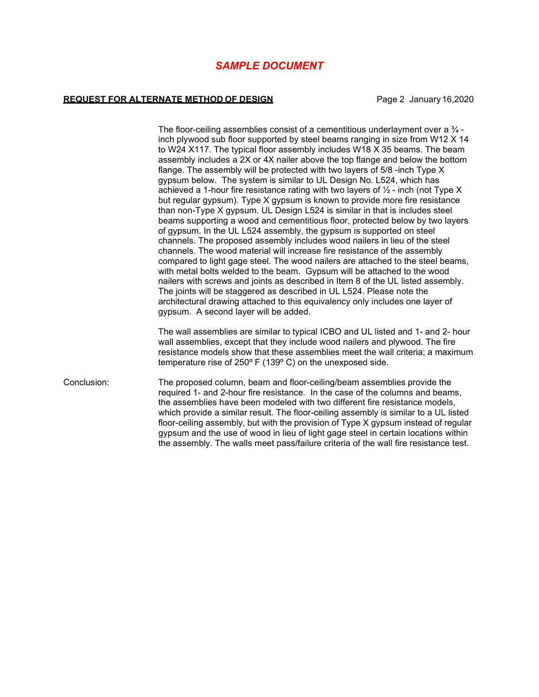### *SAMPLE DOCUMENT*

#### **REQUEST FOR ALTERNATE METHOD OF DESIGN Page 2 January 16,2020**

The floor-ceiling assemblies consist of a cementitious underlayment over a  $\frac{3}{4}$ inch plywood sub floor supported by steel beams ranging in size from W12 X 14 to W24 X117. The typical floor assembly includes W18 X 35 beams. The beam assembly includes a 2X or 4X nailer above the top flange and below the bottom flange. The assembly will be protected with two layers of 5/8 -inch Type X gypsum below. The system is similar to UL Design No. L524, which has achieved a 1-hour fire resistance rating with two layers of  $\frac{1}{2}$  - inch (not Type X) but regular gypsum). Type X gypsum is known to provide more fire resistance than non-Type X gypsum. UL Design L524 is similar in that is includes steel beams supporting a wood and cementitious floor, protected below by two layers of gypsum. In the UL L524 assembly, the gypsum is supported on steel channels. The proposed assembly includes wood nailers in lieu of the steel channels. The wood material will increase fire resistance of the assembly compared to light gage steel. The wood nailers are attached to the steel beams, with metal bolts welded to the beam. Gypsum will be attached to the wood nailers with screws and joints as described in Item 8 of the UL listed assembly. The joints will be staggered as described in UL L524. Please note the architectural drawing attached to this equivalency only includes one layer of gypsum. A second layer will be added.

The wall assemblies are similar to typical ICBO and UL listed and 1- and 2- hour wall assemblies, except that they include wood nailers and plywood. The fire resistance models show that these assemblies meet the wall criteria; a maximum temperature rise of 250º F (139º C) on the unexposed side.

Conclusion: The proposed column, beam and floor-ceiling/beam assemblies provide the required 1- and 2-hour fire resistance. In the case of the columns and beams, the assemblies have been modeled with two different fire resistance models, which provide a similar result. The floor-ceiling assembly is similar to a UL listed floor-ceiling assembly, but with the provision of Type X gypsum instead of regular gypsum and the use of wood in lieu of light gage steel in certain locations within the assembly. The walls meet pass/failure criteria of the wall fire resistance test.